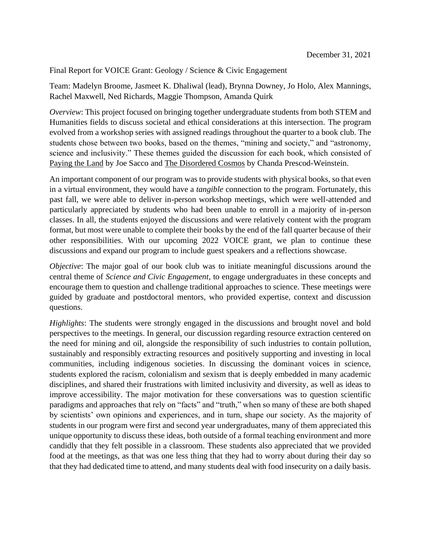Final Report for VOICE Grant: Geology / Science & Civic Engagement

Team: Madelyn Broome, Jasmeet K. Dhaliwal (lead), Brynna Downey, Jo Holo, Alex Mannings, Rachel Maxwell, Ned Richards, Maggie Thompson, Amanda Quirk

*Overview*: This project focused on bringing together undergraduate students from both STEM and Humanities fields to discuss societal and ethical considerations at this intersection. The program evolved from a workshop series with assigned readings throughout the quarter to a book club. The students chose between two books, based on the themes, "mining and society," and "astronomy, science and inclusivity." These themes guided the discussion for each book, which consisted of Paying the Land by Joe Sacco and The Disordered Cosmos by Chanda Prescod-Weinstein.

An important component of our program was to provide students with physical books, so that even in a virtual environment, they would have a *tangible* connection to the program. Fortunately, this past fall, we were able to deliver in-person workshop meetings, which were well-attended and particularly appreciated by students who had been unable to enroll in a majority of in-person classes. In all, the students enjoyed the discussions and were relatively content with the program format, but most were unable to complete their books by the end of the fall quarter because of their other responsibilities. With our upcoming 2022 VOICE grant, we plan to continue these discussions and expand our program to include guest speakers and a reflections showcase.

*Objective*: The major goal of our book club was to initiate meaningful discussions around the central theme of *Science and Civic Engagement*, to engage undergraduates in these concepts and encourage them to question and challenge traditional approaches to science. These meetings were guided by graduate and postdoctoral mentors, who provided expertise, context and discussion questions.

*Highlights*: The students were strongly engaged in the discussions and brought novel and bold perspectives to the meetings. In general, our discussion regarding resource extraction centered on the need for mining and oil, alongside the responsibility of such industries to contain pollution, sustainably and responsibly extracting resources and positively supporting and investing in local communities, including indigenous societies. In discussing the dominant voices in science, students explored the racism, colonialism and sexism that is deeply embedded in many academic disciplines, and shared their frustrations with limited inclusivity and diversity, as well as ideas to improve accessibility. The major motivation for these conversations was to question scientific paradigms and approaches that rely on "facts" and "truth," when so many of these are both shaped by scientists' own opinions and experiences, and in turn, shape our society. As the majority of students in our program were first and second year undergraduates, many of them appreciated this unique opportunity to discuss these ideas, both outside of a formal teaching environment and more candidly that they felt possible in a classroom. These students also appreciated that we provided food at the meetings, as that was one less thing that they had to worry about during their day so that they had dedicated time to attend, and many students deal with food insecurity on a daily basis.